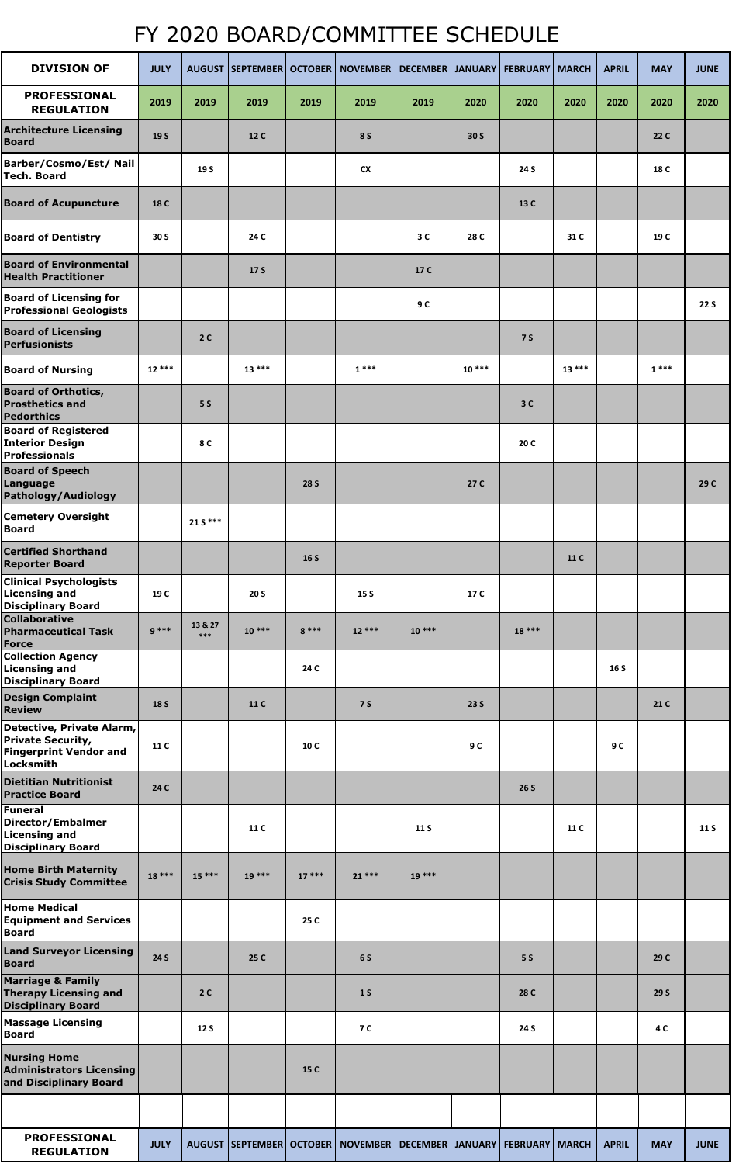## FY 2020 BOARD/COMMITTEE SCHEDULE

| <b>DIVISION OF</b>                                                                                  | <b>JULY</b> |                |             |             | AUGUST SEPTEMBER OCTOBER NOVEMBER DECEMBER JANUARY FEBRUARY MARCH               |             |         |            |         | <b>APRIL</b> | <b>MAY</b> | <b>JUNE</b> |
|-----------------------------------------------------------------------------------------------------|-------------|----------------|-------------|-------------|---------------------------------------------------------------------------------|-------------|---------|------------|---------|--------------|------------|-------------|
| <b>PROFESSIONAL</b><br><b>REGULATION</b>                                                            | 2019        | 2019           | 2019        | 2019        | 2019                                                                            | 2019        | 2020    | 2020       | 2020    | 2020         | 2020       | 2020        |
| <b>Architecture Licensing</b><br><b>Board</b>                                                       | 19 S        |                | 12 C        |             | <b>8 S</b>                                                                      |             | 30 S    |            |         |              | 22 C       |             |
| Barber/Cosmo/Est/ Nail<br><b>Tech. Board</b>                                                        |             | 19 S           |             |             | <b>CX</b>                                                                       |             |         | 24 S       |         |              | 18 C       |             |
| <b>Board of Acupuncture</b>                                                                         | 18 C        |                |             |             |                                                                                 |             |         | 13 C       |         |              |            |             |
| <b>Board of Dentistry</b>                                                                           | 30 S        |                | 24 C        |             |                                                                                 | 3C          | 28 C    |            | 31 C    |              | 19 C       |             |
| <b>Board of Environmental</b><br><b>Health Practitioner</b>                                         |             |                | 17 S        |             |                                                                                 | 17 C        |         |            |         |              |            |             |
| <b>Board of Licensing for</b><br><b>Professional Geologists</b>                                     |             |                |             |             |                                                                                 | 9 C         |         |            |         |              |            | <b>22 S</b> |
| <b>Board of Licensing</b><br>Perfusionists                                                          |             | 2C             |             |             |                                                                                 |             |         | <b>75</b>  |         |              |            |             |
| <b>Board of Nursing</b>                                                                             | $12***$     |                | $13***$     |             | $1***$                                                                          |             | $10***$ |            | $13***$ |              | $1***$     |             |
| <b>Board of Orthotics,</b><br><b>Prosthetics and</b><br><b>Pedorthics</b>                           |             | <b>5 S</b>     |             |             |                                                                                 |             |         | 3C         |         |              |            |             |
| <b>Board of Registered</b><br><b>Interior Design</b><br><b>Professionals</b>                        |             | 8 C            |             |             |                                                                                 |             |         | 20 C       |         |              |            |             |
| <b>Board of Speech</b><br>Language<br>Pathology/Audiology                                           |             |                |             | <b>28 S</b> |                                                                                 |             | 27 C    |            |         |              |            | 29 C        |
| <b>Cemetery Oversight</b><br><b>Board</b>                                                           |             | $21 S***$      |             |             |                                                                                 |             |         |            |         |              |            |             |
| <b>Certified Shorthand</b><br><b>Reporter Board</b>                                                 |             |                |             | 16 S        |                                                                                 |             |         |            | 11 C    |              |            |             |
| <b>Clinical Psychologists</b><br><b>Licensing and</b><br><b>Disciplinary Board</b>                  | 19 C        |                | <b>20 S</b> |             | 15 S                                                                            |             | 17 C    |            |         |              |            |             |
| <b>Collaborative</b><br><b>Pharmaceutical Task</b><br><b>Force</b>                                  | $9***$      | 13 & 27<br>*** | $10***$     | $8***$      | $12***$                                                                         | $10***$     |         | $18***$    |         |              |            |             |
| <b>Collection Agency</b><br><b>Licensing and</b><br><b>Disciplinary Board</b>                       |             |                |             | 24 C        |                                                                                 |             |         |            |         | 16 S         |            |             |
| <b>Design Complaint</b><br><b>Review</b>                                                            | <b>18 S</b> |                | 11 C        |             | <b>7 S</b>                                                                      |             | 23 S    |            |         |              | 21 C       |             |
| Detective, Private Alarm,<br><b>Private Security,</b><br><b>Fingerprint Vendor and</b><br>Locksmith | 11 C        |                |             | 10 C        |                                                                                 |             | 9 C     |            |         | 9 C          |            |             |
| <b>Dietitian Nutritionist</b><br><b>Practice Board</b>                                              | 24 C        |                |             |             |                                                                                 |             |         | 26S        |         |              |            |             |
| Funeral<br><b>Director/Embalmer</b><br><b>Licensing and</b><br><b>Disciplinary Board</b>            |             |                | 11 C        |             |                                                                                 | <b>11 S</b> |         |            | 11 C    |              |            | 11 S        |
| <b>Home Birth Maternity</b><br><b>Crisis Study Committee</b>                                        | $18***$     | $15***$        | 19 ***      | $17***$     | $21***$                                                                         | 19 ***      |         |            |         |              |            |             |
| <b>Home Medical</b><br><b>Equipment and Services</b><br><b>Board</b>                                |             |                |             | 25 C        |                                                                                 |             |         |            |         |              |            |             |
| <b>Land Surveyor Licensing</b><br><b>Board</b>                                                      | <b>24 S</b> |                | 25 C        |             | 6 S                                                                             |             |         | <b>5 S</b> |         |              | 29 C       |             |
| <b>Marriage &amp; Family</b><br><b>Therapy Licensing and</b><br><b>Disciplinary Board</b>           |             | 2C             |             |             | 1 <sub>S</sub>                                                                  |             |         | 28 C       |         |              | 29 S       |             |
| <b>Massage Licensing</b><br><b>Board</b>                                                            |             | <b>12 S</b>    |             |             | <b>7 C</b>                                                                      |             |         | 24 S       |         |              | 4 C        |             |
| <b>Nursing Home</b><br><b>Administrators Licensing</b><br>and Disciplinary Board                    |             |                |             | 15 C        |                                                                                 |             |         |            |         |              |            |             |
|                                                                                                     |             |                |             |             |                                                                                 |             |         |            |         |              |            |             |
| <b>PROFESSIONAL</b><br><b>REGULATION</b>                                                            | <b>JULY</b> |                |             |             | AUGUST   SEPTEMBER   OCTOBER   NOVEMBER   DECEMBER   JANUARY   FEBRUARY   MARCH |             |         |            |         | <b>APRIL</b> | <b>MAY</b> | <b>JUNE</b> |